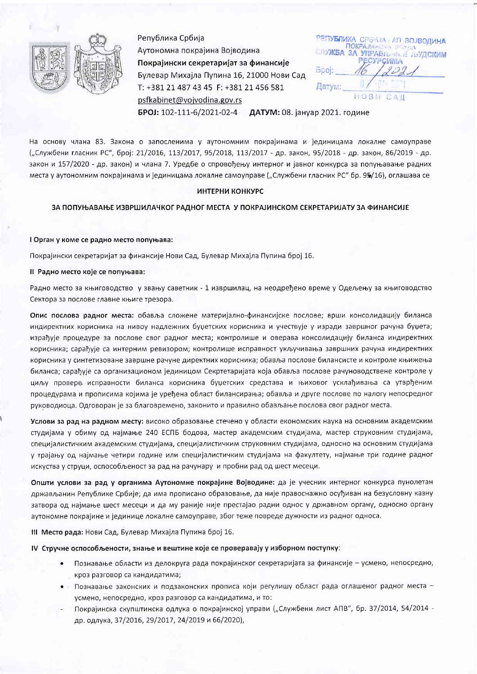

Република Србија Аутономна покрајина Војводина Покрајински секретаријат за финансије Булевар Михајла Пупина 16, 21000 Нови Сад T: +381 21 487 43 45 F: +381 21 456 581 psfkabinet@vojvodina.gov.rs

РЕПУБЛИКА СРБИТА - АП ВОЈВОДИНА ПОКРА 15 **JIVXEA** 3A УПРАВЛЬНА Е ЛЬУДСИИМ **PECYPCWIMA** iopoi: Датум: HOR CAN

БРОЈ: 102-111-6/2021-02-4 ДАТУМ: 08. јануар 2021. године

На основу члана 83. Закона о запосленима у аутономним покрајинама и јединицама локалне самоуправе ("Службени гласник РС", број: 21/2016, 113/2017, 95/2018, 113/2017 - др. закон, 95/2018 - др. закон, 86/2019 - др. закон и 157/2020 - др. закон) и члана 7. Уредбе о спровођењу интерног и јавног конкурса за попуњавање радних места у аутономним покрајинама и јединицама локалне самоуправе ("Службени гласник РС" бр. 95/16), оглашава се

# ИНТЕРНИ КОНКУРС

ЗА ПОПУЊАВАЊЕ ИЗВРШИЛАЧКОГ РАДНОГ МЕСТА У ПОКРАЈИНСКОМ СЕКРЕТАРИЈАТУ ЗА ФИНАНСИЈЕ

I Орган у коме се радно место попуњава:

Покрајински секретаријат за финансије Нови Сад, Булевар Михајла Пупина број 16.

II Радно место које се попуњава:

Радно место за књиговодство у звању саветник - 1 извршилац, на неодређено време у Одељењу за књиговодство Сектора за послове главне књиге трезора.

Опис послова радног места: обавља сложене материјално-финансијске послове; врши консолидацију биланса индиректних корисника на нивоу надлежних буџетских корисника и учествује у изради завршног рачуна буџета; израђује процедуре за послове свог радног места; контролише и оверава консолидацију биланса индиректних корисника; сарађује са интерним ревизором; контролише исправност укључивања завршних рачуна индиректних корисника у синтетизоване завршне рачуне директних корисника; обавља послове билансисте и контроле књижења биланса; сарађује са организационом јединицом Секртетаријата која обавља послове рачуноводствене контроле у циљу провере исправности биланса корисника буџетских средстава и њиховог усклађивања са утврђеним процедурама и прописима којима је уређена област билансирања; обавља и друге послове по налогу непосредног руководиоца. Одговоран је за благовремено, законито и правилно обављање послова свог радног места.

Услови за рад на радном месту: високо образовање стечено у области економских наука на основним академским студијама у обиму од најмање 240 ЕСПБ бодова, мастер академским студијама, мастер струковним студијама, специјалистичким академским студијама, специјалистичким струковним студијама, односно на основним студијама у трајању од најмање четири године или специјалистичким студијама на факултету, најмање три године радног искуства у струци, оспособљеност за рад на рачунару и пробни рад од шест месеци.

Општи услови за рад у органима Аутономне покрајине Војводине: да је учесник интерног конкурса пунолетан држављанин Републике Србије; да има прописано образовање, да није правоснажно осуђиван на безусловну казну затвора од најмање шест месеци и да му раније није престајао радни однос у државном органу, односно органу аутономне покрајине и јединице локалне самоуправе, због теже повреде дужности из радног односа.

III Место рада: Нови Сад, Булевар Михајла Пупина број 16.

IV Стручне оспособљености, знање и вештине које се проверавају у изборном поступку:

- $\bullet$ Познавање области из делокруга рада покрајинског секретаријата за финансије - усмено, непосредно, кроз разговор са кандидатима;
- Познавање законских и подзаконских прописа који регулишу област рада оглашеног радног места - $\bullet$ . усмено, непосредно, кроз разговор са кандидатима, и то:
- Покрајинска скупштинска одлука о покрајинској управи ("Службени лист АПВ", бр. 37/2014, 54/2014 др. одлука, 37/2016, 29/2017, 24/2019 и 66/2020),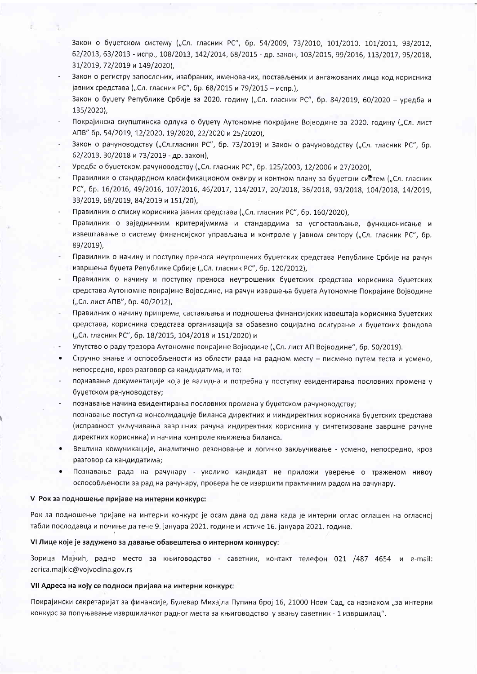- Закон о буџетском систему ("Сл. гласник РС", бр. 54/2009, 73/2010, 101/2010, 101/2011, 93/2012, 62/2013, 63/2013 - испр., 108/2013, 142/2014, 68/2015 - др. закон, 103/2015, 99/2016, 113/2017, 95/2018, 31/2019, 72/2019 и 149/2020),
- Закон о регистру запослених, изабраних, именованих, постављених и ангажованих лица код корисника јавних средстава ("Сл. гласник РС", бр. 68/2015 и 79/2015 - испр.),
- Закон о буџету Републике Србије за 2020. годину ("Сл. гласник РС", бр. 84/2019, 60/2020 уредба и 135/2020),
- Покрајинска скупштинска одлука о буџету Аутономне покрајине Војводине за 2020. годину ("Сл. лист АПВ" бр. 54/2019, 12/2020, 19/2020, 22/2020 и 25/2020),
- Закон о рачуноводству ("Сл.гласник РС", бр. 73/2019) и Закон о рачуноводству ("Сл. гласник РС", бр. 62/2013, 30/2018 и 73/2019 - др. закон),
- Уредба о буџетском рачуноводству ("Сл. гласник РС", бр. 125/2003, 12/2006 и 27/2020),
- Правилник о стандардном класификационом оквиру и контном плану за буџетски систем ("Сл. гласник PC", 6p. 16/2016, 49/2016, 107/2016, 46/2017, 114/2017, 20/2018, 36/2018, 93/2018, 104/2018, 14/2019, 33/2019, 68/2019, 84/2019 и 151/20).
- Правилник о списку корисника јавних средстава ("Сл. гласник РС", бр. 160/2020),
- Правилник о заједничким критеријумима и стандардима за успостављање, функционисање и извештавање о систему финансијског управљања и контроле у јавном сектору ("Сл. гласник РС", бр. 89/2019).
- Правилник о начину и поступку преноса неутрошених буџетских средстава Републике Србије на рачун извршења буџета Републике Србије ("Сл. гласник РС", бр. 120/2012),
- Правилник о начину и поступку преноса неутрошених буџетских средстава корисника буџетских средстава Аутономне покрајине Војводине, на рачун извршења буџета Аутономне Покрајине Војводине ("Сл. лист АПВ", бр. 40/2012),
- Правилник о начину припреме, састављања и подношења финансијских извештаја корисника буџетских средстава, корисника средстава организација за обавезно социјално осигурање и буџетских фондова ("Сл. гласник РС", бр. 18/2015, 104/2018 и 151/2020) и
- Упутство о раду трезора Аутономне покрајине Војводине ("Сл. лист АП Војводине", бр. 50/2019).
- Стручно знање и оспособљености из области рада на радном месту писмено путем теста и усмено,  $\bullet$ непосредно, кроз разговор са кандидатима, и то:
- познавање документације која је валидна и потребна у поступку евидентирања пословних промена у буџетском рачуноводству;
- познавање начина евидентирања пословних промена у буџетском рачуноводству;
- познавање поступка консолидације биланса директних и ииндиректних корисника буџетских средстава (исправност укључивања завршних рачуна индиректних корисника у синтетизоване завршне рачуне директних корисника) и начина контроле књижења биланса.
- $\bullet$ Вештина комуникације, аналитично резоновање и логичко закључивање - усмено, непосредно, кроз разговор са кандидатима;
- Познавање рада на рачунару уколико кандидат не приложи уверење о траженом нивоу  $\bullet$ оспособљености за рад на рачунару, провера ће се извршити практичним радом на рачунару.

### V Рок за подношење пријаве на интерни конкурс:

Рок за подношење пријаве на интерни конкурс је осам дана од дана када је интерни оглас оглашен на огласној табли послодавца и почиње да тече 9. јануара 2021. године и истиче 16. јануара 2021. године.

### VI Лице које је задужено за давање обавештења о интерном конкурсу:

Зорица Мајкић, радно место за књиговодство - саветник, контакт телефон 021 /487 4654 и e-mail: zorica.majkic@vojvodina.gov.rs

#### VII Адреса на коју се подноси пријава на интерни конкурс:

Покрајински секретаријат за финансије, Булевар Михајла Пупина број 16, 21000 Нови Сад, са назнаком "за интерни конкурс за попуњавање извршилачког радног места за књиговодство у звању саветник - 1 извршилац".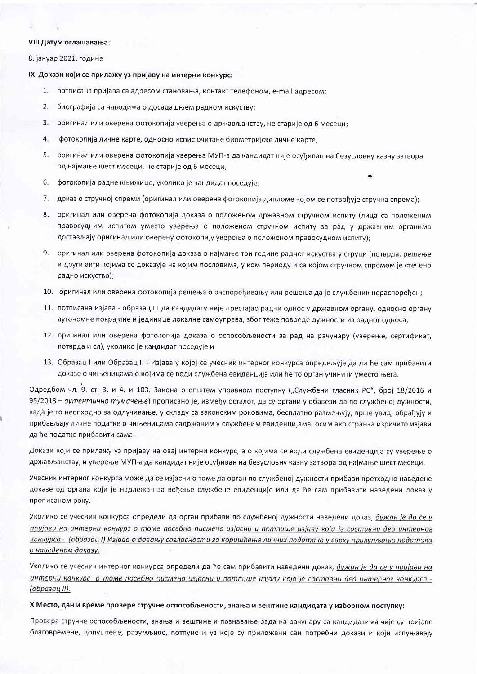#### VIII Датум оглашавања:

8. јануар 2021. године

IX Докази који се прилажу уз пријаву на интерни конкурс:

- 1. потписана пријава са адресом становања, контакт телефоном, e-mail адресом;
- 2. биографија са наводима о досадашњем радном искуству;
- $\mathbf{3}$ . оригинал или оверена фотокопија уверења о држављанству, не старије од 6 месеци;
- 4. фотокопија личне карте, односно испис очитане биометријске личне карте:
- 5. оригинал или оверена фотокопија уверења МУП-а да кандидат није осуђиван на безусловну казну затвора од најмање шест месеци, не старије од 6 месеци;
- 6. фотокопија радне књижице, уколико је кандидат поседује;
- 7. доказ о стручној спреми (оригинал или оверена фотокопија дипломе којом се потврђује стручна спрема);
- 8. оригинал или оверена фотокопија доказа о положеном државном стручном испиту (лица са положеним правосудним испитом уместо уверења о положеном стручном испиту за рад у државним органима достављају оригинал или оверену фотокопију уверења о положеном правосудном испиту);
- 9. оригинал или оверена фотокопија доказа о најмање три године радног искуства у струци (потврда, решење и други акти којима се доказује на којим пословима, у ком периоду и са којом стручном спремом је стечено радно искуство);
- 10. оригинал или оверена фотокопија решења о распоређивању или решења да је службеник нераспоређен;
- 11. потписана изјава образац III да кандидату није престајао радни однос у државном органу, односно органу аутономне покрајине и јединице локалне самоуправа, због теже повреде дужности из радног односа;
- 12. оригинал или оверена фотокопија доказа о оспособљености за рад на рачунару (уверење, сертификат, потврда и сл), уколико је кандидат поседује и
- 13. Образац I или Образац II Изјава у којој се учесник интерног конкурса опредељује да ли ће сам прибавити доказе о чињеницама о којима се води службена евиденција или ће то орган учинити уместо њега.

Одредбом чл. 9. ст. 3. и 4. и 103. Закона о општем управном поступку ("Службени гласник РС", број 18/2016 и 95/2018 - аутентично тумачење) прописано је, између осталог, да су органи у обавези да по службеној дужности, када је то неопходно за одлучивање, у складу са законским роковима, бесплатно размењују, врше увид, обрађују и прибављају личне податке о чињеницама садржаним у службеним евиденцијама, осим ако странка изричито изјави да ће податке прибавити сама.

Докази који се прилажу уз пријаву на овај интерни конкурс, а о којима се води службена евиденција су уверење о држављанству, и уверење МУП-а да кандидат није осуђиван на безусловну казну затвора од најмање шест месеци.

Учесник интерног конкурса може да се изјасни о томе да орган по службеној дужности прибави претходно наведене доказе од органа који је надлежан за вођење службене евиденције или да ће сам прибавити наведени доказ у прописаном року.

Уколико се учесник конкурса определи да орган прибави по службеној дужности наведени доказ, дужан је да се у пријави на интерни конкурс о томе посебно писмено изјасни и потпише изјаву која је саставни део интерног конкурса - (образац I) Изјава о давању сагласности за коришћење личних података у сврху прикупљања података о наведеном доказу.

Уколико се учесник интерног конкурса определи да ће сам прибавити наведени доказ, дужан је да се у пријави на интерни конкурс о томе посебно писмено изјасни и потпише изјаву која је саставни део интерног конкурса -<u>(образац II).</u>

# Х Место, дан и време провере стручне оспособљености, знања и вештине кандидата у изборном поступку:

Провера стручне оспособљености, знања и вештине и познавање рада на рачунару са кандидатима чије су пријаве благовремене, допуштене, разумљиве, потпуне и уз које су приложени сви потребни докази и који испуњавају